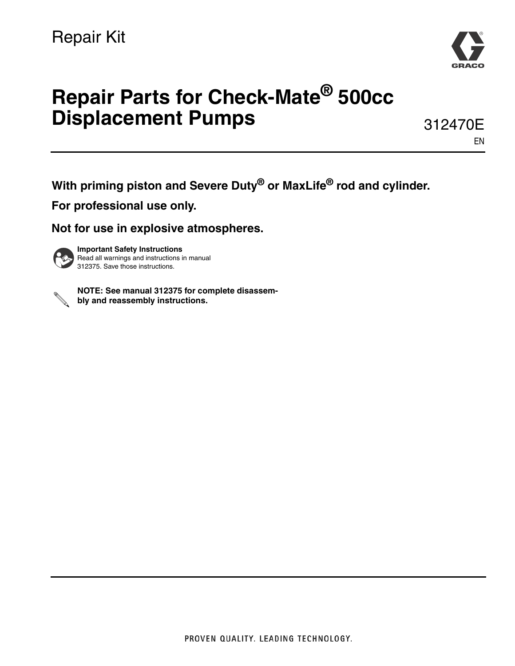

# **Repair Parts for Check-Mate® 500cc Displacement Pumps**

312470E EN

**With priming piston and Severe Duty® or MaxLife® rod and cylinder.**

**For professional use only.** 

**Not for use in explosive atmospheres.**



**Important Safety Instructions** Read all warnings and instructions in manual 312375. Save those instructions.



**NOTE: See manual 312375 for complete disassembly and reassembly instructions.**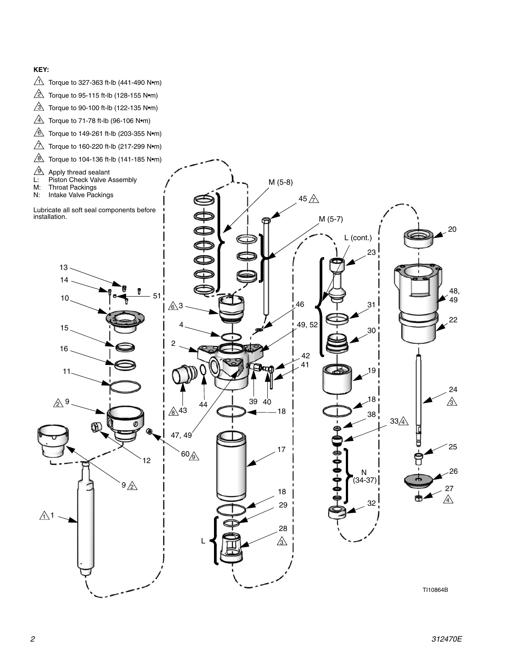#### **KEY:**

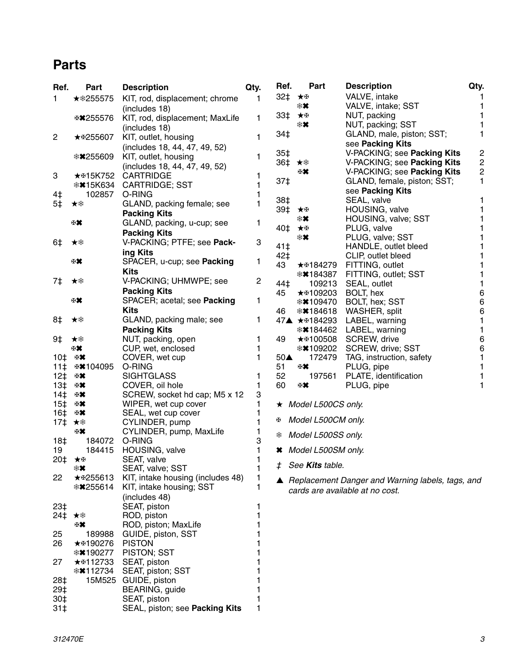### **Parts**

| Ref.            | Part            | <b>Description</b>                    | Qty.   | Ref.  | Part                       | <b>Description</b>                               | Qty.           |
|-----------------|-----------------|---------------------------------------|--------|-------|----------------------------|--------------------------------------------------|----------------|
| 1               | ★ * 255575      | KIT, rod, displacement; chrome        | 1      | 32‡   | ★⊞                         | VALVE, intake                                    |                |
|                 |                 | (includes 18)                         |        |       | ∗×                         | VALVE, intake; SST                               | 1              |
|                 | ⊕ * 255576      | KIT, rod, displacement; MaxLife       | 1      | 33‡   | ★⊞                         | NUT, packing                                     | 1              |
|                 |                 | (includes 18)                         |        |       | ∗×                         | NUT, packing; SST                                |                |
| $\overline{c}$  | ★ \$255607      | KIT, outlet, housing                  | 1      | 34‡   |                            | GLAND, male, piston; SST;                        | 1              |
|                 |                 |                                       |        |       |                            | see Packing Kits                                 |                |
|                 |                 | (includes 18, 44, 47, 49, 52)         |        | $35+$ |                            | V-PACKING; see Packing Kits                      | 2              |
|                 | <b>**255609</b> | KIT, outlet, housing                  | 1      | 36‡   | ★案                         | V-PACKING; see Packing Kits                      | $\overline{c}$ |
|                 |                 | (includes 18, 44, 47, 49, 52)         |        |       | ⊕₩.                        | V-PACKING; see Packing Kits                      | 2              |
| 3               | <b>★⊕15K752</b> | <b>CARTRIDGE</b>                      |        | 37‡   |                            | GLAND, female, piston; SST;                      | 1              |
|                 | <b>**15K634</b> | <b>CARTRIDGE; SST</b>                 |        |       |                            | see Packing Kits                                 |                |
| 4‡              | 102857          | O-RING                                |        | 38‡   |                            | SEAL, valve                                      | 1              |
| 5‡              | ★糁              | GLAND, packing female; see            | 1      | 39‡   | ★⊞                         | HOUSING, valve                                   |                |
|                 |                 | <b>Packing Kits</b>                   |        |       | ∗×                         | HOUSING, valve; SST                              |                |
|                 | 田其              | GLAND, packing, u-cup; see            | 1      | 40‡   | ★⊞                         | PLUG, valve                                      |                |
|                 |                 | <b>Packing Kits</b>                   |        |       | ∗×                         | PLUG, valve; SST                                 | 1              |
| 6‡              | ★举              | V-PACKING; PTFE; see Pack-            | 3      | 41‡   |                            | HANDLE, outlet bleed                             |                |
|                 |                 | ing Kits                              |        | 42‡   |                            | CLIP, outlet bleed                               |                |
|                 | ₩               | SPACER, u-cup; see Packing            | 1      | 43    | ★⊞184279                   | FITTING, outlet                                  | 1              |
|                 |                 | <b>Kits</b>                           |        |       | <b>☀✖184387</b>            | FITTING, outlet; SST                             | 1              |
| 7‡              | ★举              | V-PACKING; UHMWPE; see                | 2      | 44‡   | 109213                     | SEAL, outlet                                     | 1              |
|                 |                 | <b>Packing Kits</b>                   |        | 45    | ★⊕109203                   | BOLT, hex                                        | 6              |
|                 | ₩               | SPACER; acetal; see Packing           | 1      |       | <b>☀✖109470</b>            | BOLT, hex; SST                                   | 6              |
|                 |                 | <b>Kits</b>                           |        | 46    | <b>**</b> 184618           | WASHER, split                                    | 6              |
| 8‡              | ★举              | GLAND, packing male; see              | 1      |       | 47▲ ★⊞184293               | LABEL, warning                                   | 1              |
|                 |                 | <b>Packing Kits</b>                   |        |       | <b>☀✖184462</b>            | LABEL, warning                                   | 1              |
| 9‡              | ★桊              | NUT, packing, open                    | 1      | 49    | ★⊕100508                   | SCREW, drive                                     | 6              |
|                 | ₩.              | CUP, wet, enclosed                    | 1      |       | <b>☀✖109202</b>            | SCREW, drive; SST                                | 6              |
|                 | 田某              |                                       | 1      | 50▲   | 172479                     |                                                  | 1              |
| 10‡             | ⊕¥104095        | COVER, wet cup<br>O-RING              |        | 51    | 田某                         | TAG, instruction, safety                         |                |
| 11 <sup>†</sup> | 田其              | <b>SIGHTGLASS</b>                     | 1      | 52    | 197561                     | PLUG, pipe                                       | 1              |
| $12+$<br>$13+$  | 田某              | COVER, oil hole                       | 1      | 60    | ⊕₩.                        | PLATE, identification<br>PLUG, pipe              | 1              |
| 14 <sup>†</sup> | ⊕ *             |                                       | 3      |       |                            |                                                  |                |
|                 | ⊕ *             | SCREW, socket hd cap; M5 x 12         | 1      |       |                            |                                                  |                |
| 15 <sup>†</sup> |                 | WIPER, wet cup cover                  |        |       | $\star$ Model L500CS only. |                                                  |                |
| 16‡             | ⊞₩.<br>★举       | SEAL, wet cup cover<br>CYLINDER, pump |        | Œ.    | Model L500CM only.         |                                                  |                |
| 17‡             | ₩               |                                       |        |       |                            |                                                  |                |
|                 | 184072          | CYLINDER, pump, MaxLife<br>O-RING     |        | ₩     | Model L500SS only.         |                                                  |                |
| 18‡<br>19       | 184415          | HOUSING, valve                        | 3<br>1 |       | * Model L500SM only.       |                                                  |                |
|                 |                 | SEAT, valve                           | 1      |       |                            |                                                  |                |
| 20‡ ★⊕          | ∗×              | SEAT, valve; SST                      |        |       | See Kits table.            |                                                  |                |
| 22              |                 |                                       |        |       |                            |                                                  |                |
|                 | ★⊞255613        | KIT, intake housing (includes 48)     |        |       |                            | Replacement Danger and Warning labels, tags, and |                |
|                 | <b>**255614</b> | KIT, intake housing; SST              |        |       |                            | cards are available at no cost.                  |                |
|                 |                 | (includes 48)                         |        |       |                            |                                                  |                |
| $23+$           |                 | SEAT, piston                          |        |       |                            |                                                  |                |
| 24‡             | ★案              | ROD, piston                           |        |       |                            |                                                  |                |
|                 | 田棠              | ROD, piston; MaxLife                  |        |       |                            |                                                  |                |
| 25              | 189988          | GUIDE, piston, SST                    |        |       |                            |                                                  |                |
| 26              | ★⊕190276        | <b>PISTON</b>                         |        |       |                            |                                                  |                |
|                 | <b>**190277</b> | PISTON; SST                           |        |       |                            |                                                  |                |
| 27              | ★⊞112733        | SEAT, piston                          |        |       |                            |                                                  |                |
|                 | <b>☀✖112734</b> | SEAT, piston; SST                     |        |       |                            |                                                  |                |
| 28‡             |                 | 15M525 GUIDE, piston                  |        |       |                            |                                                  |                |
| 29‡             |                 | BEARING, guide                        |        |       |                            |                                                  |                |
| 30‡             |                 | SEAT, piston                          |        |       |                            |                                                  |                |
| 31 <sup>†</sup> |                 | SEAL, piston; see Packing Kits        |        |       |                            |                                                  |                |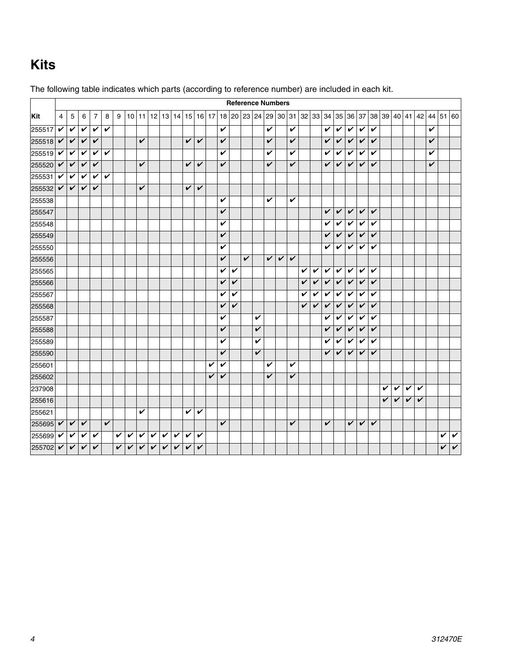## <span id="page-3-0"></span>**Kits**

|        |                |              |              |                |                         |   |   |              |   |                   |              |   |   |              |       |   |              | <b>Reference Numbers</b> |   |   |              |   |                         |   |   |                         |   |                         |   |   |   |   |   |                                                                                              |              |
|--------|----------------|--------------|--------------|----------------|-------------------------|---|---|--------------|---|-------------------|--------------|---|---|--------------|-------|---|--------------|--------------------------|---|---|--------------|---|-------------------------|---|---|-------------------------|---|-------------------------|---|---|---|---|---|----------------------------------------------------------------------------------------------|--------------|
| Kit    | $\overline{4}$ | 5            | 6            | $\overline{7}$ | 8                       | 9 |   | $10$   11    |   | 12 13 14 15 16 17 |              |   |   |              | 18 20 |   |              |                          |   |   |              |   |                         |   |   |                         |   |                         |   |   |   |   |   | 23   24   29   30   31   32   33   34   35   36   37   38   39   40   41   42   44   51   60 |              |
| 255517 | $\checkmark$   | V            | V            | V              | V                       |   |   |              |   |                   |              |   |   |              | V     |   |              |                          | V |   | V            |   |                         | V | V | V                       | V | V                       |   |   |   |   | V |                                                                                              |              |
| 255518 | $\checkmark$   | $\checkmark$ | V            | V              |                         |   |   | V            |   |                   |              | V | V |              | V     |   |              |                          | V |   | V            |   |                         | V | V | $\overline{\mathbf{v}}$ | V | V                       |   |   |   |   | V |                                                                                              |              |
| 255519 | V              | V            | V            | V              | V                       |   |   |              |   |                   |              |   |   |              | V     |   |              |                          | V |   | V            |   |                         | V | V | V                       | V | V                       |   |   |   |   | V |                                                                                              |              |
| 255520 | $\checkmark$   | V            | V            | V              |                         |   |   | V            |   |                   |              | V | V |              | V     |   |              |                          | V |   | V            |   |                         | V | V | V                       | V | V                       |   |   |   |   | V |                                                                                              |              |
| 255531 | $\checkmark$   | V            | V            | V              | V                       |   |   |              |   |                   |              |   |   |              |       |   |              |                          |   |   |              |   |                         |   |   |                         |   |                         |   |   |   |   |   |                                                                                              |              |
| 255532 | $\checkmark$   | V            | V            | V              |                         |   |   | V            |   |                   |              | V | V |              |       |   |              |                          |   |   |              |   |                         |   |   |                         |   |                         |   |   |   |   |   |                                                                                              |              |
| 255538 |                |              |              |                |                         |   |   |              |   |                   |              |   |   |              | V     |   |              |                          | V |   | V            |   |                         |   |   |                         |   |                         |   |   |   |   |   |                                                                                              |              |
| 255547 |                |              |              |                |                         |   |   |              |   |                   |              |   |   |              | V     |   |              |                          |   |   |              |   |                         | V | V | V                       | V | V                       |   |   |   |   |   |                                                                                              |              |
| 255548 |                |              |              |                |                         |   |   |              |   |                   |              |   |   |              | V     |   |              |                          |   |   |              |   |                         | V | V | V                       | V | V                       |   |   |   |   |   |                                                                                              |              |
| 255549 |                |              |              |                |                         |   |   |              |   |                   |              |   |   |              | V     |   |              |                          |   |   |              |   |                         | V | V | $\checkmark$            | V | V                       |   |   |   |   |   |                                                                                              |              |
| 255550 |                |              |              |                |                         |   |   |              |   |                   |              |   |   |              | V     |   |              |                          |   |   |              |   |                         | V | V | V                       | V | V                       |   |   |   |   |   |                                                                                              |              |
| 255556 |                |              |              |                |                         |   |   |              |   |                   |              |   |   |              | V     |   | $\checkmark$ |                          | V | V | $\checkmark$ |   |                         |   |   |                         |   |                         |   |   |   |   |   |                                                                                              |              |
| 255565 |                |              |              |                |                         |   |   |              |   |                   |              |   |   |              | V     | V |              |                          |   |   |              | V | V                       | V | V | V                       | V | V                       |   |   |   |   |   |                                                                                              |              |
| 255566 |                |              |              |                |                         |   |   |              |   |                   |              |   |   |              | V     | V |              |                          |   |   |              | V | $\overline{\mathbf{v}}$ | V | V | $\overline{\mathbf{v}}$ | V | V                       |   |   |   |   |   |                                                                                              |              |
| 255567 |                |              |              |                |                         |   |   |              |   |                   |              |   |   |              | V     | V |              |                          |   |   |              | V | V                       | V | V | V                       | V | V                       |   |   |   |   |   |                                                                                              |              |
| 255568 |                |              |              |                |                         |   |   |              |   |                   |              |   |   |              | V     | V |              |                          |   |   |              | V | $\checkmark$            | V | V | $\checkmark$            | V | V                       |   |   |   |   |   |                                                                                              |              |
| 255587 |                |              |              |                |                         |   |   |              |   |                   |              |   |   |              | V     |   |              | V                        |   |   |              |   |                         | V | V | V                       | V | V                       |   |   |   |   |   |                                                                                              |              |
| 255588 |                |              |              |                |                         |   |   |              |   |                   |              |   |   |              | V     |   |              | V                        |   |   |              |   |                         | V | V | $\checkmark$            | V | $\checkmark$            |   |   |   |   |   |                                                                                              |              |
| 255589 |                |              |              |                |                         |   |   |              |   |                   |              |   |   |              | V     |   |              | V                        |   |   |              |   |                         | V | V | V                       | V | V                       |   |   |   |   |   |                                                                                              |              |
| 255590 |                |              |              |                |                         |   |   |              |   |                   |              |   |   |              | V     |   |              | V                        |   |   |              |   |                         | V | V | V                       | V | V                       |   |   |   |   |   |                                                                                              |              |
| 255601 |                |              |              |                |                         |   |   |              |   |                   |              |   |   | V            | V     |   |              |                          | V |   | V            |   |                         |   |   |                         |   |                         |   |   |   |   |   |                                                                                              |              |
| 255602 |                |              |              |                |                         |   |   |              |   |                   |              |   |   | $\checkmark$ | V     |   |              |                          | V |   | V            |   |                         |   |   |                         |   |                         |   |   |   |   |   |                                                                                              |              |
| 237908 |                |              |              |                |                         |   |   |              |   |                   |              |   |   |              |       |   |              |                          |   |   |              |   |                         |   |   |                         |   |                         | V | V | V | V |   |                                                                                              |              |
| 255616 |                |              |              |                |                         |   |   |              |   |                   |              |   |   |              |       |   |              |                          |   |   |              |   |                         |   |   |                         |   |                         | V | V | V | V |   |                                                                                              |              |
| 255621 |                |              |              |                |                         |   |   | V            |   |                   |              | V | V |              |       |   |              |                          |   |   |              |   |                         |   |   |                         |   |                         |   |   |   |   |   |                                                                                              |              |
| 255695 | $\checkmark$   | $\checkmark$ | $\checkmark$ |                | $\overline{\mathbf{v}}$ |   |   |              |   |                   |              |   |   |              | V     |   |              |                          |   |   | V            |   |                         | V |   | $\overline{\mathbf{v}}$ | V | $\overline{\mathbf{v}}$ |   |   |   |   |   |                                                                                              |              |
| 255699 | V              | V            | V            | V              |                         | V | V | V            | V | V                 | V            | V | V |              |       |   |              |                          |   |   |              |   |                         |   |   |                         |   |                         |   |   |   |   |   | V                                                                                            | V            |
| 255702 | $\checkmark$   | $\checkmark$ | $\checkmark$ | V              |                         | V | V | $\checkmark$ | V | V                 | $\checkmark$ | V | V |              |       |   |              |                          |   |   |              |   |                         |   |   |                         |   |                         |   |   |   |   |   | V                                                                                            | $\checkmark$ |

The following table indicates which parts (according to reference number) are included in each kit.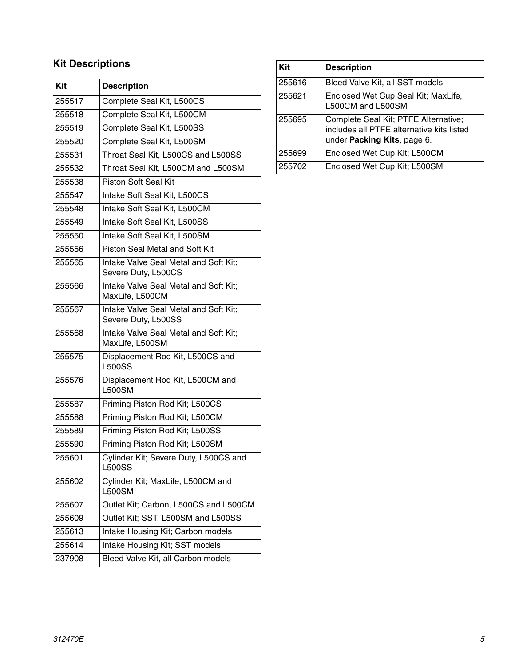### **Kit Descriptions**

| Kit    | <b>Description</b>                                           |
|--------|--------------------------------------------------------------|
| 255517 | Complete Seal Kit, L500CS                                    |
| 255518 | Complete Seal Kit, L500CM                                    |
| 255519 | Complete Seal Kit, L500SS                                    |
| 255520 | Complete Seal Kit, L500SM                                    |
| 255531 | Throat Seal Kit, L500CS and L500SS                           |
| 255532 | Throat Seal Kit, L500CM and L500SM                           |
| 255538 | <b>Piston Soft Seal Kit</b>                                  |
| 255547 | Intake Soft Seal Kit, L500CS                                 |
| 255548 | Intake Soft Seal Kit, L500CM                                 |
| 255549 | Intake Soft Seal Kit, L500SS                                 |
| 255550 | Intake Soft Seal Kit, L500SM                                 |
| 255556 | Piston Seal Metal and Soft Kit                               |
| 255565 | Intake Valve Seal Metal and Soft Kit;<br>Severe Duty, L500CS |
| 255566 | Intake Valve Seal Metal and Soft Kit;<br>MaxLife, L500CM     |
| 255567 | Intake Valve Seal Metal and Soft Kit;<br>Severe Duty, L500SS |
| 255568 | Intake Valve Seal Metal and Soft Kit;<br>MaxLife, L500SM     |
| 255575 | Displacement Rod Kit, L500CS and<br><b>L500SS</b>            |
| 255576 | Displacement Rod Kit, L500CM and<br><b>L500SM</b>            |
| 255587 | Priming Piston Rod Kit; L500CS                               |
| 255588 | Priming Piston Rod Kit; L500CM                               |
| 255589 | Priming Piston Rod Kit; L500SS                               |
| 255590 | Priming Piston Rod Kit; L500SM                               |
| 255601 | Cylinder Kit; Severe Duty, L500CS and<br><b>L500SS</b>       |
| 255602 | Cylinder Kit; MaxLife, L500CM and<br><b>L500SM</b>           |
| 255607 | Outlet Kit; Carbon, L500CS and L500CM                        |
| 255609 | Outlet Kit; SST, L500SM and L500SS                           |
| 255613 | Intake Housing Kit; Carbon models                            |
| 255614 | Intake Housing Kit; SST models                               |
| 237908 | Bleed Valve Kit, all Carbon models                           |
|        |                                                              |

| Kit    | <b>Description</b>                                                                                               |
|--------|------------------------------------------------------------------------------------------------------------------|
| 255616 | Bleed Valve Kit, all SST models                                                                                  |
| 255621 | Enclosed Wet Cup Seal Kit; MaxLife,<br>L500CM and L500SM                                                         |
| 255695 | Complete Seal Kit; PTFE Alternative;<br>includes all PTFE alternative kits listed<br>under Packing Kits, page 6. |
| 255699 | Enclosed Wet Cup Kit; L500CM                                                                                     |
| 255702 | Enclosed Wet Cup Kit; L500SM                                                                                     |